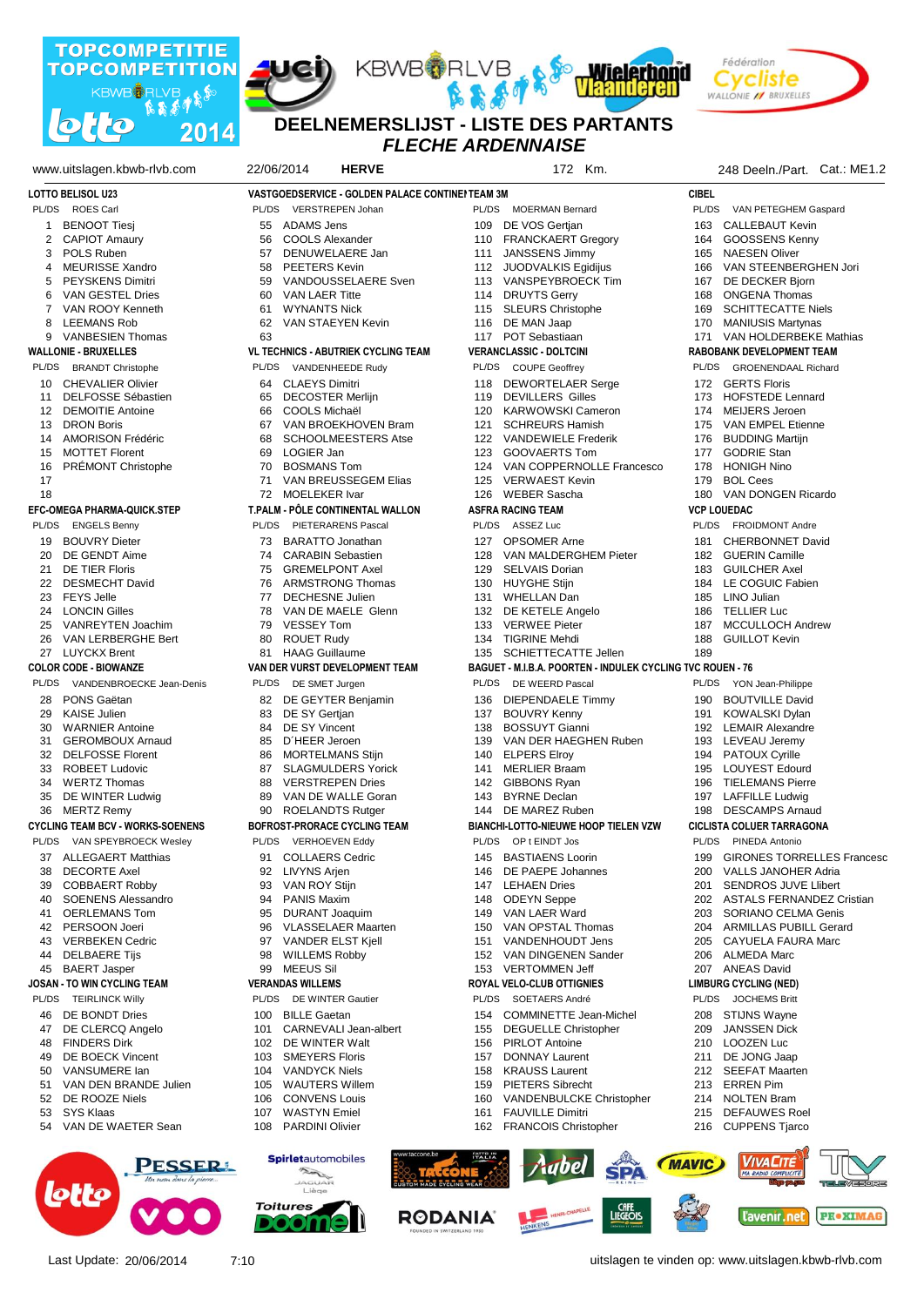







## *FLECHE ARDENNAISE* **DEELNEMERSLIJST - LISTE DES PARTANTS**

| www.uitslagen.kbwb-rlvb.com             | 22/06/2014<br><b>HERVE</b>                      | 172 Km.                                                    | 248 Deeln./Part. Cat.: ME1.2<br><b>CIBEL</b> |  |
|-----------------------------------------|-------------------------------------------------|------------------------------------------------------------|----------------------------------------------|--|
| <b>LOTTO BELISOL U23</b>                | VASTGOEDSERVICE - GOLDEN PALACE CONTINENTEAM 3M |                                                            |                                              |  |
| PL/DS                                   | PL/DS                                           | PL/DS MOERMAN Bernard                                      | PL/DS                                        |  |
| ROES Carl                               | VERSTREPEN Johan                                |                                                            | VAN PETEGHEM Gaspard                         |  |
| <b>BENOOT Tiesi</b>                     | <b>ADAMS Jens</b>                               | DE VOS Gertjan                                             | <b>CALLEBAUT Kevin</b>                       |  |
| 1                                       | 55                                              | 109                                                        | 163                                          |  |
| 2                                       | <b>COOLS Alexander</b>                          | <b>FRANCKAERT Gregory</b>                                  | GOOSSENS Kenny                               |  |
| <b>CAPIOT Amaury</b>                    | 56                                              | 110                                                        | 164                                          |  |
| POLS Ruben                              | DENUWELAERE Jan                                 | <b>JANSSENS Jimmy</b>                                      | <b>NAESEN Oliver</b>                         |  |
| 3                                       | 57                                              | 111                                                        | 165                                          |  |
| <b>MEURISSE Xandro</b>                  | <b>PEETERS Kevin</b>                            | JUODVALKIS Egidijus                                        | VAN STEENBERGHEN Jori                        |  |
| 4                                       | 58                                              | 112                                                        | 166                                          |  |
| 5                                       | VANDOUSSELAERE Sven                             | VANSPEYBROECK Tim                                          | 167                                          |  |
| <b>PEYSKENS Dimitri</b>                 | 59                                              | 113                                                        | DE DECKER Bjorn                              |  |
| 6                                       | <b>VAN LAER Titte</b>                           | <b>DRUYTS Gerry</b>                                        | <b>ONGENA Thomas</b>                         |  |
| VAN GESTEL Dries                        | 60                                              | 114                                                        | 168                                          |  |
| VAN ROOY Kenneth                        | <b>WYNANTS Nick</b>                             | <b>SLEURS Christophe</b>                                   | <b>SCHITTECATTE Niels</b>                    |  |
| 7                                       | 61                                              | 115                                                        | 169                                          |  |
| 8                                       | 62                                              | DE MAN Jaap                                                | 170                                          |  |
| <b>LEEMANS Rob</b>                      | VAN STAEYEN Kevin                               | 116                                                        | <b>MANIUSIS Martynas</b>                     |  |
| VANBESIEN Thomas<br>9                   | 63                                              | 117 POT Sebastiaan                                         | VAN HOLDERBEKE Mathias<br>171                |  |
| <b>WALLONIE - BRUXELLES</b>             | <b>VL TECHNICS - ABUTRIEK CYCLING TEAM</b>      | <b>VERANCLASSIC - DOLTCINI</b>                             | RABOBANK DEVELOPMENT TEAM                    |  |
| PL/DS                                   | PL/DS                                           | PL/DS                                                      | <b>GROENENDAAL Richard</b>                   |  |
| <b>BRANDT Christophe</b>                | VANDENHEEDE Rudy                                | <b>COUPE Geoffrey</b>                                      | PL/DS                                        |  |
| <b>CHEVALIER Olivier</b>                | <b>CLAEYS Dimitri</b>                           | <b>DEWORTELAER Serge</b>                                   | 172 GERTS Floris                             |  |
| 10                                      | 64                                              | 118                                                        |                                              |  |
| <b>DELFOSSE Sébastien</b>               | <b>DECOSTER Merlijn</b>                         | <b>DEVILLERS Gilles</b>                                    | <b>HOFSTEDE Lennard</b>                      |  |
| 11                                      | 65                                              | 119                                                        | 173                                          |  |
| <b>DEMOITIE Antoine</b>                 | COOLS Michaël                                   | <b>KARWOWSKI Cameron</b>                                   | MEIJERS Jeroen                               |  |
| 12                                      | 66                                              | 120                                                        | 174                                          |  |
| <b>DRON Boris</b>                       | VAN BROEKHOVEN Bram                             | 121                                                        | VAN EMPEL Etienne                            |  |
| 13                                      | 67                                              | <b>SCHREURS Hamish</b>                                     | 175                                          |  |
| <b>AMORISON Frédéric</b>                | <b>SCHOOLMEESTERS Atse</b>                      | 122                                                        | <b>BUDDING Martijn</b>                       |  |
| 14                                      | 68                                              | <b>VANDEWIELE Frederik</b>                                 | 176                                          |  |
| <b>MOTTET Florent</b>                   | 69                                              | 123                                                        | <b>GODRIE Stan</b>                           |  |
| 15                                      | LOGIER Jan                                      | GOOVAERTS Tom                                              | 177                                          |  |
| PRÉMONT Christophe                      | 70                                              | 124                                                        | <b>HONIGH Nino</b>                           |  |
| 16                                      | <b>BOSMANS Tom</b>                              | VAN COPPERNOLLE Francesco                                  | 178                                          |  |
| 17                                      | 71                                              | 125                                                        | 179                                          |  |
|                                         | VAN BREUSSEGEM Elias                            | <b>VERWAEST Kevin</b>                                      | <b>BOL Cees</b>                              |  |
| 18                                      | <b>MOELEKER Ivar</b>                            | WEBER Sascha                                               | VAN DONGEN Ricardo                           |  |
|                                         | 72                                              | 126                                                        | 180                                          |  |
| <b>EFC-OMEGA PHARMA-QUICK.STEP</b>      | T.PALM - PÔLE CONTINENTAL WALLON                | <b>ASFRA RACING TEAM</b>                                   | <b>VCP LOUEDAC</b>                           |  |
| <b>ENGELS Benny</b>                     | PL/DS                                           | ASSEZ Luc                                                  | PL/DS                                        |  |
| PL/DS                                   | <b>PIETERARENS Pascal</b>                       | PL/DS                                                      | <b>FROIDMONT Andre</b>                       |  |
|                                         |                                                 |                                                            |                                              |  |
| <b>BOUVRY Dieter</b>                    | <b>BARATTO Jonathan</b>                         | <b>OPSOMER Arne</b>                                        | <b>CHERBONNET David</b>                      |  |
| 19                                      | 73.                                             | 127                                                        | 181                                          |  |
| DE GENDT Aime                           | <b>CARABIN Sebastien</b>                        | VAN MALDERGHEM Pieter                                      | <b>GUERIN Camille</b>                        |  |
| 20                                      | 74                                              | 128                                                        | 182                                          |  |
| DE TIER Floris                          | <b>GREMELPONT Axel</b>                          | 129                                                        | <b>GUILCHER Axel</b>                         |  |
| 21                                      | 75                                              | <b>SELVAIS Dorian</b>                                      | 183                                          |  |
| <b>DESMECHT David</b>                   | <b>ARMSTRONG Thomas</b>                         | <b>HUYGHE Stijn</b>                                        | LE COGUIC Fabien                             |  |
| 22                                      | 76                                              | 130                                                        | 184                                          |  |
| <b>FEYS Jelle</b>                       | <b>DECHESNE Julien</b>                          | <b>WHELLAN Dan</b>                                         | LINO Julian                                  |  |
| 23                                      | 77                                              | 131                                                        | 185                                          |  |
| <b>LONCIN Gilles</b>                    | VAN DE MAELE Glenn                              | DE KETELE Angelo                                           | <b>TELLIER Luc</b>                           |  |
| 24                                      | 78                                              | 132                                                        | 186                                          |  |
| 25                                      | <b>VESSEY Tom</b>                               | <b>VERWEE Pieter</b>                                       | <b>MCCULLOCH Andrew</b>                      |  |
| VANREYTEN Joachim                       | 79                                              | 133                                                        | 187                                          |  |
| 26                                      | <b>ROUET Rudy</b>                               | <b>TIGRINE Mehdi</b>                                       | <b>GUILLOT Kevin</b>                         |  |
| VAN LERBERGHE Bert                      | 80                                              | 134                                                        | 188                                          |  |
| <b>LUYCKX Brent</b>                     | <b>HAAG Guillaume</b>                           | SCHIETTECATTE Jellen                                       | 189                                          |  |
| 27                                      | 81                                              | 135                                                        |                                              |  |
| <b>COLOR CODE - BIOWANZE</b>            | VAN DER VURST DEVELOPMENT TEAM                  | BAGUET - M.I.B.A. POORTEN - INDULEK CYCLING TVC ROUEN - 76 |                                              |  |
| VANDENBROECKE Jean-Denis                | PL/DS                                           | PL/DS                                                      | PL/DS                                        |  |
| PL/DS                                   | DE SMET Jurgen                                  | DE WEERD Pascal                                            | YON Jean-Philippe                            |  |
| PONS Gaëtan                             | 82                                              | 136                                                        | <b>BOUTVILLE David</b>                       |  |
| 28                                      | DE GEYTER Benjamin                              | DIEPENDAELE Timmy                                          | 190                                          |  |
| 29                                      | 83                                              | <b>BOUVRY Kenny</b>                                        | KOWALSKI Dylan                               |  |
| <b>KAISE Julien</b>                     | DE SY Gertjan                                   | 137                                                        | 191                                          |  |
| 30                                      | <b>DE SY Vincent</b>                            | <b>BOSSUYT Gianni</b>                                      | 192 LEMAIR Alexandre                         |  |
| <b>WARNIER Antoine</b>                  | 84                                              | 138                                                        |                                              |  |
| <b>GEROMBOUX Arnaud</b>                 | D'HEER Jeroen                                   | VAN DER HAEGHEN Ruben                                      | 193 LEVEAU Jeremy                            |  |
| 31                                      | 85                                              | 139                                                        |                                              |  |
| <b>DELFOSSE Florent</b>                 | 86                                              | <b>ELPERS Elroy</b>                                        | 194 PATOUX Cyrille                           |  |
| 32                                      | <b>MORTELMANS Stijn</b>                         | 140                                                        |                                              |  |
| <b>ROBEET Ludovic</b>                   | <b>SLAGMULDERS Yorick</b>                       | <b>MERLIER Braam</b>                                       | 195 LOUYEST Edourd                           |  |
| 33                                      | 87                                              | 141                                                        |                                              |  |
| <b>WERTZ Thomas</b>                     | <b>VERSTREPEN Dries</b>                         | <b>GIBBONS Ryan</b>                                        | <b>TIELEMANS Pierre</b>                      |  |
| 34                                      | 88                                              | 142                                                        | 196                                          |  |
| DE WINTER Ludwig                        | VAN DE WALLE Goran                              | <b>BYRNE Declan</b>                                        | 197 LAFFILLE Ludwig                          |  |
| 35                                      | 89                                              | 143                                                        |                                              |  |
| MERTZ Remy<br>36                        | 90<br><b>ROELANDTS Rutger</b>                   | 144 DE MAREZ Ruben                                         | 198 DESCAMPS Arnaud                          |  |
| <b>CYCLING TEAM BCV - WORKS-SOENENS</b> | BOFROST-PRORACE CYCLING TEAM                    | <b>BIANCHI-LOTTO-NIEUWE HOOP TIELEN VZW</b>                | <b>CICLISTA COLUER TARRAGONA</b>             |  |
| PL/DS VAN SPEYBROECK Wesley             | PL/DS<br><b>VERHOEVEN Eddy</b>                  | PL/DS OP t EINDT Jos                                       | PL/DS<br>PINEDA Antonio                      |  |
| <b>ALLEGAERT Matthias</b>               | <b>COLLAERS Cedric</b>                          | <b>BASTIAENS Loorin</b>                                    | <b>GIRONES TORRELLES Francesc</b>            |  |
| 37                                      | 91                                              | 145                                                        | 199                                          |  |
| <b>DECORTE Axel</b>                     | LIVYNS Arjen                                    | DE PAEPE Johannes                                          | 200                                          |  |
| 38                                      | 92                                              | 146                                                        | VALLS JANOHER Adria                          |  |
| <b>COBBAERT Robby</b>                   | VAN ROY Stijn                                   | <b>LEHAEN Dries</b>                                        | 201                                          |  |
| 39                                      | 93                                              | 147                                                        | <b>SENDROS JUVE LIIbert</b>                  |  |
| <b>SOENENS Alessandro</b>               | <b>PANIS Maxim</b>                              | <b>ODEYN Seppe</b>                                         | 202 ASTALS FERNANDEZ Cristian                |  |
| 40                                      | 94                                              | 148                                                        |                                              |  |
| OERLEMANS Tom                           | <b>DURANT Joaquim</b>                           | VAN LAER Ward                                              | SORIANO CELMA Genis                          |  |
| 41                                      | 95                                              | 149                                                        | 203                                          |  |
| PERSOON Joeri                           | <b>VLASSELAER Maarten</b>                       | VAN OPSTAL Thomas                                          | 204 ARMILLAS PUBILL Gerard                   |  |
| 42                                      | 96                                              | 150                                                        |                                              |  |
| <b>VERBEKEN Cedric</b>                  | 97                                              | VANDENHOUDT Jens                                           | 205 CAYUELA FAURA Marc                       |  |
| 43                                      | VANDER ELST Kjell                               | 151                                                        |                                              |  |
| DELBAERE Tijs                           | <b>WILLEMS Robby</b>                            | 152                                                        | 206 ALMEDA Marc                              |  |
| 44                                      | 98                                              | VAN DINGENEN Sander                                        |                                              |  |
| <b>BAERT Jasper</b><br>45               | 99 MEEUS Sil                                    | 153 VERTOMMEN Jeff                                         | 207 ANEAS David                              |  |
| JOSAN - TO WIN CYCLING TEAM             | <b>VERANDAS WILLEMS</b>                         | ROYAL VELO-CLUB OTTIGNIES                                  | <b>LIMBURG CYCLING (NED)</b>                 |  |
| <b>TEIRLINCK Willy</b>                  | DE WINTER Gautier                               | PL/DS                                                      | PL/DS JOCHEMS Britt                          |  |
| PL/DS                                   | PL/DS                                           | SOETAERS André                                             |                                              |  |
|                                         |                                                 |                                                            |                                              |  |
| DE BONDT Dries                          | <b>BILLE Gaetan</b>                             | <b>COMMINETTE Jean-Michel</b>                              | 208 STIJNS Wayne                             |  |
| 46                                      | 100                                             | 154                                                        |                                              |  |
| DE CLERCQ Angelo<br>47                  | CARNEVALI Jean-albert<br>101                    | 155<br><b>DEGUELLE Christopher</b>                         | <b>JANSSEN Dick</b><br>209<br>210 LOOZEN Luc |  |
| <b>FINDERS Dirk</b>                     | DE WINTER Walt                                  | <b>PIRLOT Antoine</b>                                      |                                              |  |
| 48                                      | 102                                             | 156                                                        |                                              |  |
| DE BOECK Vincent                        | <b>SMEYERS Floris</b>                           | <b>DONNAY Laurent</b>                                      | 211 DE JONG Jaap                             |  |
| 49                                      | 103                                             | 157                                                        |                                              |  |
| VANSUMERE lan                           | <b>VANDYCK Niels</b>                            | <b>KRAUSS Laurent</b>                                      | 212 SEEFAT Maarten                           |  |
| 50                                      | 104                                             | 158                                                        |                                              |  |
| VAN DEN BRANDE Julien                   | <b>WAUTERS Willem</b>                           | <b>PIETERS Sibrecht</b>                                    | 213 ERREN Pim                                |  |
| 51                                      | 105                                             | 159                                                        |                                              |  |
| DE ROOZE Niels                          | <b>CONVENS Louis</b>                            | VANDENBULCKE Christopher                                   | 214 NOLTEN Bram                              |  |
| 52                                      | 106                                             | 160                                                        |                                              |  |
| SYS Klaas                               | <b>WASTYN</b> Emiel                             | <b>FAUVILLE Dimitri</b>                                    | 215                                          |  |
| 53                                      | 107                                             | 161                                                        | DEFAUWES Roel                                |  |
| 54 VAN DE WAETER Sean                   | <b>PARDINI Olivier</b><br>108                   | 162 FRANCOIS Christopher                                   | 216 CUPPENS Tjarco                           |  |

**Aubel** 

CRFE<br>LIEGEOIS



Last Update: 20/06/2014 7:10 7:10 7:10 The vinden op: www.uitslagen.kbwb-rlvb.com

**MAVIC** 

**VIVACITÉ** 

l'avenir.net

**PR**·**XIMAG**